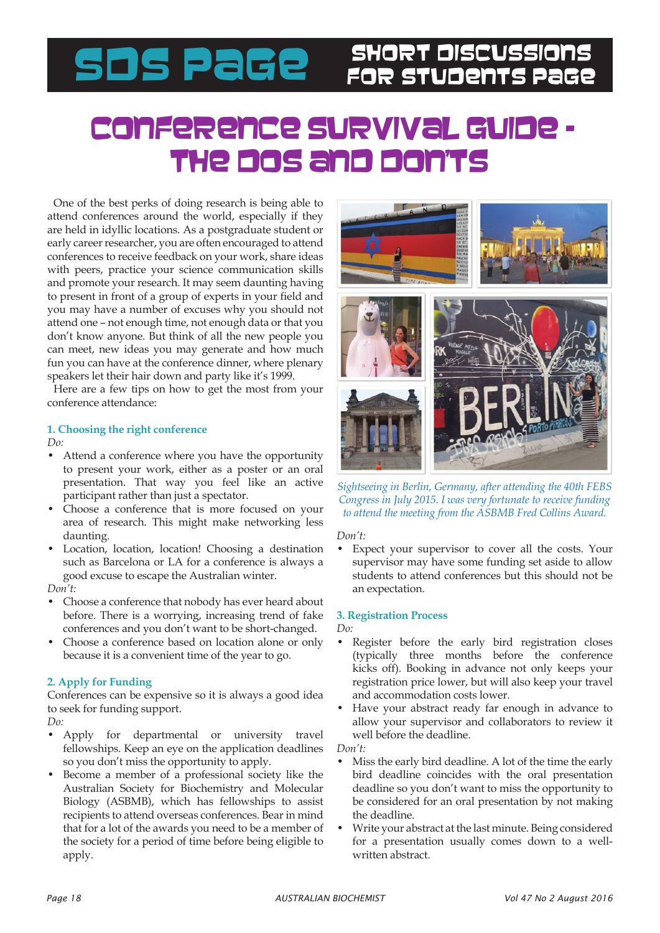# SDS PaGe SHORT DISCUSSIONS

## Conference Survival Guide – THE DOS and DON'

One of the best perks of doing research is being able to attend conferences around the world, especially if they are held in idyllic locations. As a postgraduate student or early career researcher, you are often encouraged to attend conferences to receive feedback on your work, share ideas with peers, practice your science communication skills and promote your research. It may seem daunting having to present in front of a group of experts in your field and you may have a number of excuses why you should not attend one – not enough time, not enough data or that you don't know anyone. But think of all the new people you can meet, new ideas you may generate and how much fun you can have at the conference dinner, where plenary speakers let their hair down and party like it's 1999.

Here are a few tips on how to get the most from your conference attendance:

## **1. Choosing the right conference**

*Do:*

- Attend a conference where you have the opportunity to present your work, either as a poster or an oral presentation. That way you feel like an active participant rather than just a spectator.
- Choose a conference that is more focused on your area of research. This might make networking less daunting.
- Location, location, location! Choosing a destination such as Barcelona or LA for a conference is always a good excuse to escape the Australian winter.

*Don't:*

- Choose a conference that nobody has ever heard about before. There is a worrying, increasing trend of fake conferences and you don't want to be short-changed.
- Choose a conference based on location alone or only because it is a convenient time of the year to go.

## **2. Apply for Funding**

Conferences can be expensive so it is always a good idea to seek for funding support.

*Do:*

- Apply for departmental or university travel fellowships. Keep an eye on the application deadlines so you don't miss the opportunity to apply.
- Become a member of a professional society like the Australian Society for Biochemistry and Molecular Biology (ASBMB), which has fellowships to assist recipients to attend overseas conferences. Bear in mind that for a lot of the awards you need to be a member of the society for a period of time before being eligible to apply.



*Sightseeing in Berlin, Germany, after attending the 40th FEBS Congress in July 2015. I was very fortunate to receive funding to attend the meeting from the ASBMB Fred Collins Award.*

### *Don't:*

• Expect your supervisor to cover all the costs. Your supervisor may have some funding set aside to allow students to attend conferences but this should not be an expectation.

## **3. Registration Process**

*Do:*

- Register before the early bird registration closes (typically three months before the conference kicks off). Booking in advance not only keeps your registration price lower, but will also keep your travel and accommodation costs lower.
- Have your abstract ready far enough in advance to allow your supervisor and collaborators to review it well before the deadline.

*Don't:*

- Miss the early bird deadline. A lot of the time the early bird deadline coincides with the oral presentation deadline so you don't want to miss the opportunity to be considered for an oral presentation by not making the deadline.
- Write your abstract at the last minute. Being considered for a presentation usually comes down to a wellwritten abstract.